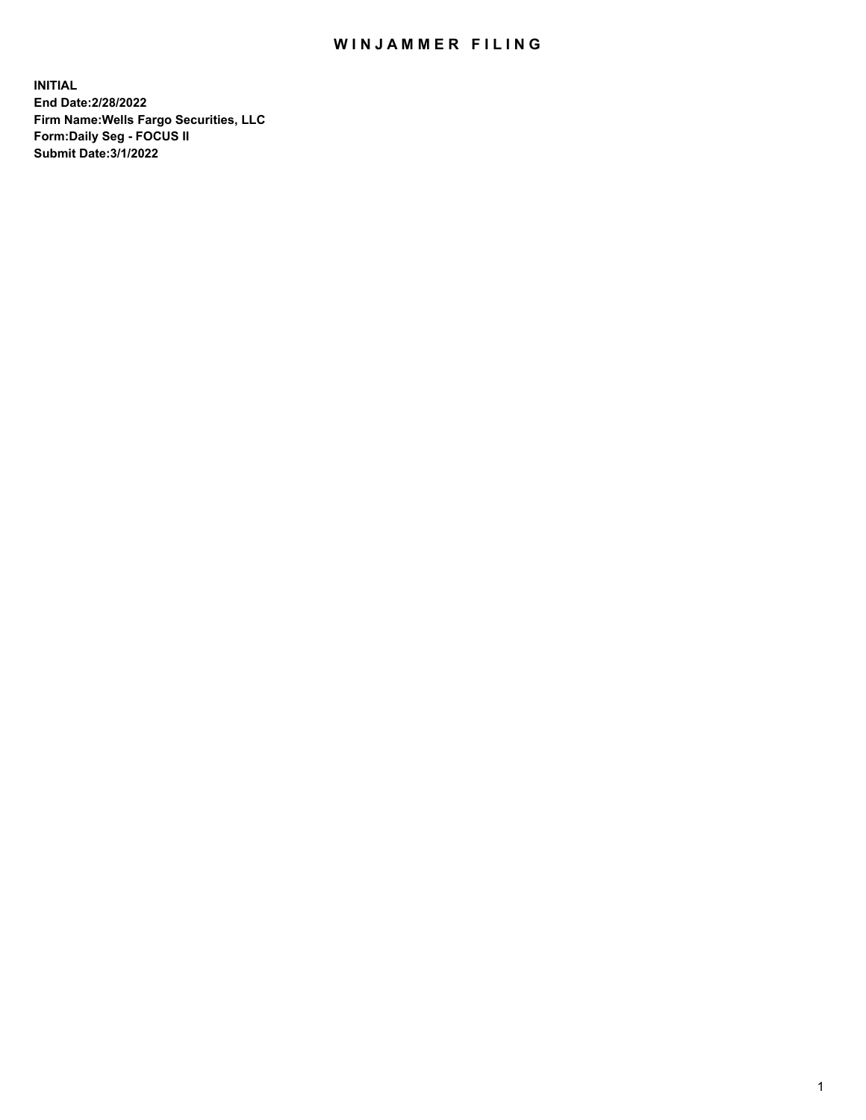## WIN JAMMER FILING

**INITIAL End Date:2/28/2022 Firm Name:Wells Fargo Securities, LLC Form:Daily Seg - FOCUS II Submit Date:3/1/2022**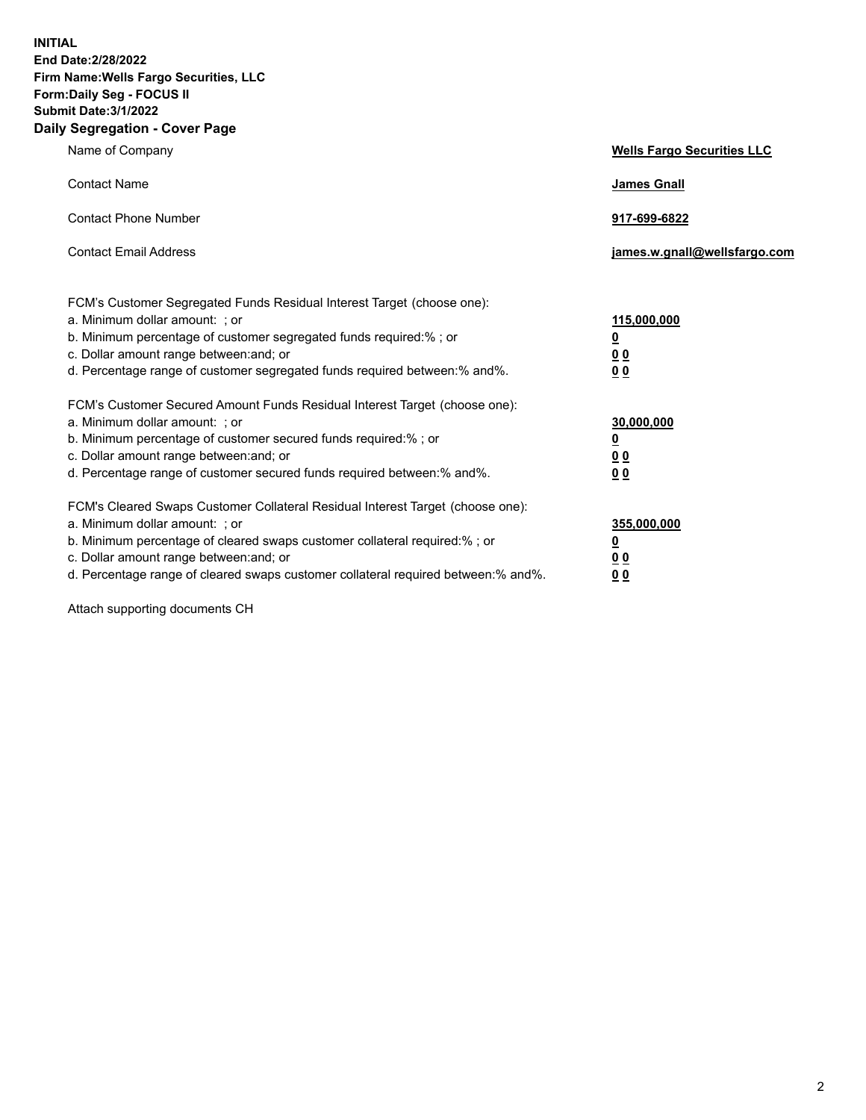**INITIAL End Date:2/28/2022 Firm Name:Wells Fargo Securities, LLC Form:Daily Seg - FOCUS II Submit Date:3/1/2022 Daily Segregation - Cover Page**

| Name of Company                                                                                                                                                                                                                                                                                                               | <b>Wells Fargo Securities LLC</b>               |
|-------------------------------------------------------------------------------------------------------------------------------------------------------------------------------------------------------------------------------------------------------------------------------------------------------------------------------|-------------------------------------------------|
| <b>Contact Name</b>                                                                                                                                                                                                                                                                                                           | <b>James Gnall</b>                              |
| <b>Contact Phone Number</b>                                                                                                                                                                                                                                                                                                   | 917-699-6822                                    |
| <b>Contact Email Address</b>                                                                                                                                                                                                                                                                                                  | james.w.gnall@wellsfargo.com                    |
| FCM's Customer Segregated Funds Residual Interest Target (choose one):<br>a. Minimum dollar amount: ; or<br>b. Minimum percentage of customer segregated funds required:% ; or<br>c. Dollar amount range between: and; or<br>d. Percentage range of customer segregated funds required between:% and%.                        | 115,000,000<br><u>0</u><br>00<br>00             |
| FCM's Customer Secured Amount Funds Residual Interest Target (choose one):<br>a. Minimum dollar amount: ; or<br>b. Minimum percentage of customer secured funds required:%; or<br>c. Dollar amount range between: and; or<br>d. Percentage range of customer secured funds required between:% and%.                           | 30,000,000<br><u>0</u><br>00<br>0 <sub>0</sub>  |
| FCM's Cleared Swaps Customer Collateral Residual Interest Target (choose one):<br>a. Minimum dollar amount: ; or<br>b. Minimum percentage of cleared swaps customer collateral required:%; or<br>c. Dollar amount range between: and; or<br>d. Percentage range of cleared swaps customer collateral required between:% and%. | 355,000,000<br><u>0</u><br>0 <sub>0</sub><br>00 |

Attach supporting documents CH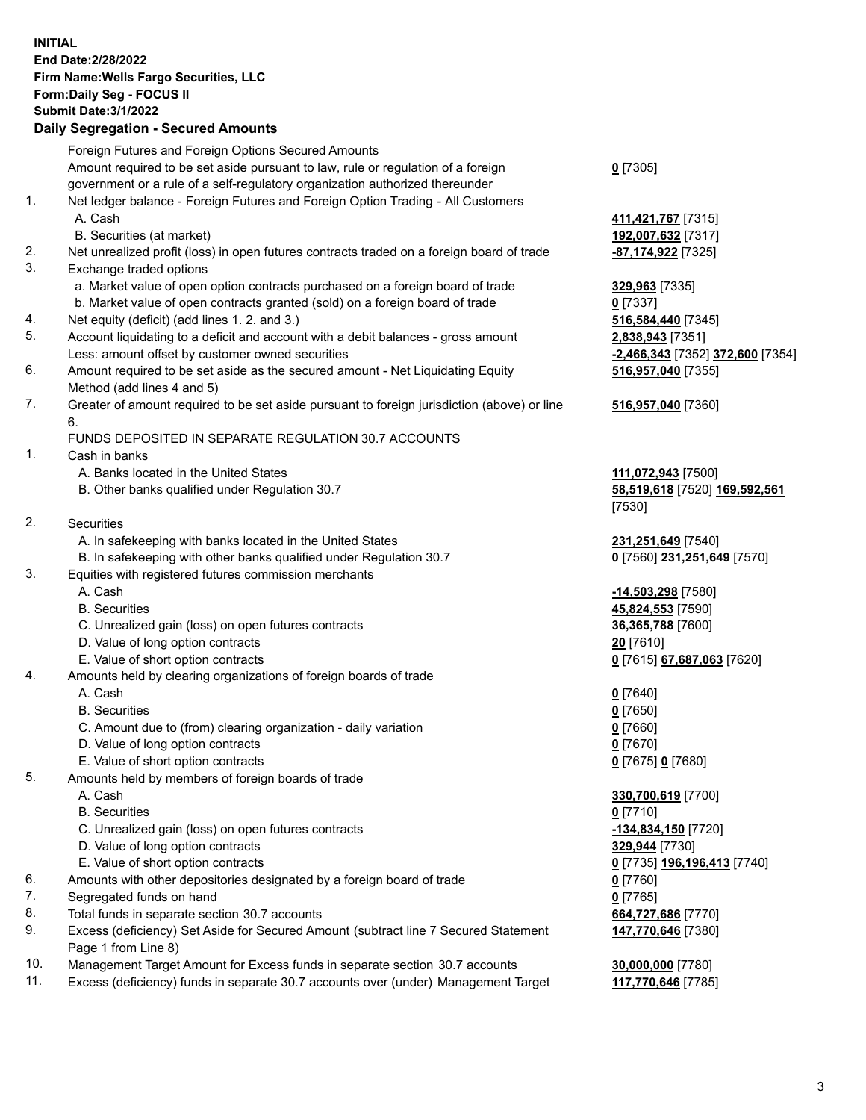**INITIAL End Date:2/28/2022 Firm Name:Wells Fargo Securities, LLC Form:Daily Seg - FOCUS II Submit Date:3/1/2022 Daily Segregation - Secured Amounts** Foreign Futures and Foreign Options Secured Amounts Amount required to be set aside pursuant to law, rule or regulation of a foreign government or a rule of a self-regulatory organization authorized thereunder **0** [7305] 1. Net ledger balance - Foreign Futures and Foreign Option Trading - All Customers A. Cash **411,421,767** [7315] B. Securities (at market) **192,007,632** [7317] 2. Net unrealized profit (loss) in open futures contracts traded on a foreign board of trade **-87,174,922** [7325] 3. Exchange traded options a. Market value of open option contracts purchased on a foreign board of trade **329,963** [7335] b. Market value of open contracts granted (sold) on a foreign board of trade **0** [7337] 4. Net equity (deficit) (add lines 1. 2. and 3.) **516,584,440** [7345] 5. Account liquidating to a deficit and account with a debit balances - gross amount **2,838,943** [7351] Less: amount offset by customer owned securities **-2,466,343** [7352] **372,600** [7354] 6. Amount required to be set aside as the secured amount - Net Liquidating Equity Method (add lines 4 and 5) **516,957,040** [7355] 7. Greater of amount required to be set aside pursuant to foreign jurisdiction (above) or line 6. **516,957,040** [7360] FUNDS DEPOSITED IN SEPARATE REGULATION 30.7 ACCOUNTS 1. Cash in banks A. Banks located in the United States **111,072,943** [7500] B. Other banks qualified under Regulation 30.7 **58,519,618** [7520] **169,592,561** [7530] 2. Securities A. In safekeeping with banks located in the United States **231,251,649** [7540] B. In safekeeping with other banks qualified under Regulation 30.7 **0** [7560] **231,251,649** [7570] 3. Equities with registered futures commission merchants A. Cash **-14,503,298** [7580] B. Securities **45,824,553** [7590] C. Unrealized gain (loss) on open futures contracts **36,365,788** [7600] D. Value of long option contracts **20** [7610] E. Value of short option contracts **0** [7615] **67,687,063** [7620] 4. Amounts held by clearing organizations of foreign boards of trade A. Cash **0** [7640] B. Securities **0** [7650] C. Amount due to (from) clearing organization - daily variation **0** [7660] D. Value of long option contracts **0** [7670] E. Value of short option contracts **0** [7675] **0** [7680] 5. Amounts held by members of foreign boards of trade A. Cash **330,700,619** [7700] B. Securities **0** [7710] C. Unrealized gain (loss) on open futures contracts **-134,834,150** [7720] D. Value of long option contracts **329,944** [7730] E. Value of short option contracts **0** [7735] **196,196,413** [7740] 6. Amounts with other depositories designated by a foreign board of trade **0** [7760] 7. Segregated funds on hand **0** [7765] 8. Total funds in separate section 30.7 accounts **664,727,686** [7770] 9. Excess (deficiency) Set Aside for Secured Amount (subtract line 7 Secured Statement Page 1 from Line 8) **147,770,646** [7380] 10. Management Target Amount for Excess funds in separate section 30.7 accounts **30,000,000** [7780]

11. Excess (deficiency) funds in separate 30.7 accounts over (under) Management Target **117,770,646** [7785]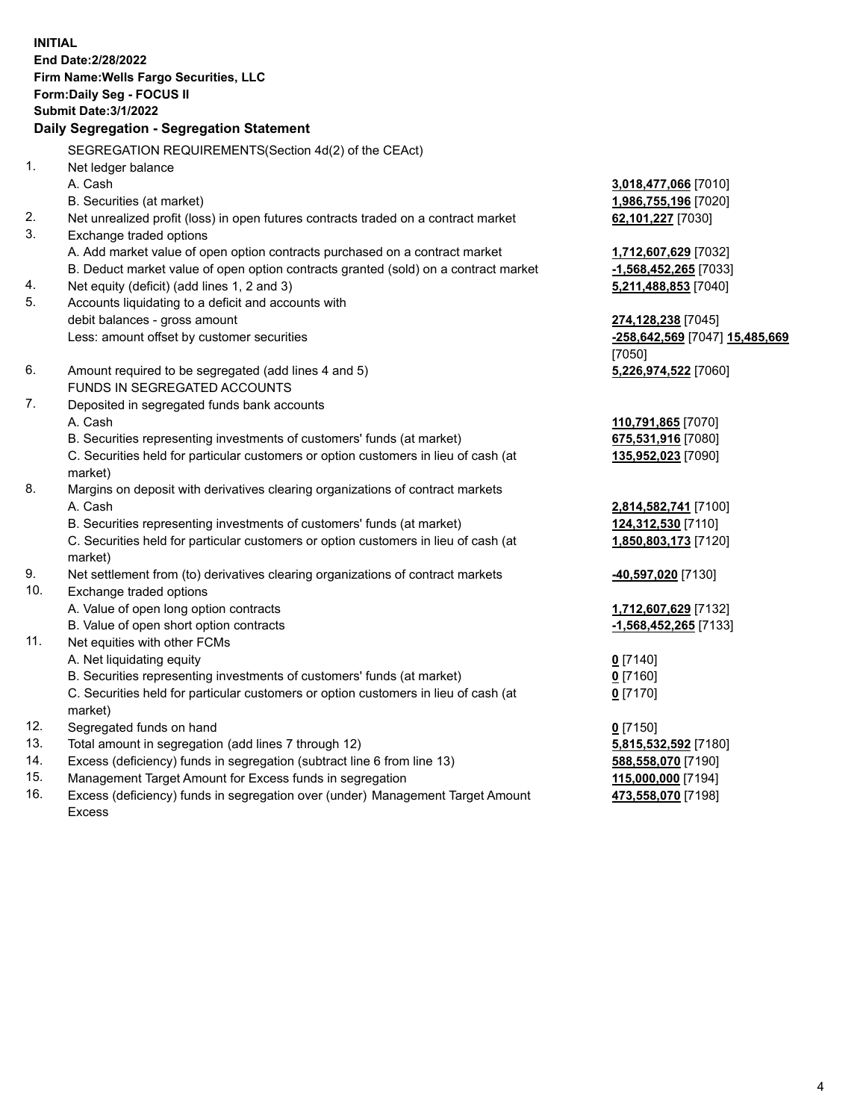**INITIAL End Date:2/28/2022 Firm Name:Wells Fargo Securities, LLC Form:Daily Seg - FOCUS II Submit Date:3/1/2022 Daily Segregation - Segregation Statement** SEGREGATION REQUIREMENTS(Section 4d(2) of the CEAct) 1. Net ledger balance A. Cash **3,018,477,066** [7010] B. Securities (at market) **1,986,755,196** [7020] 2. Net unrealized profit (loss) in open futures contracts traded on a contract market **62,101,227** [7030] 3. Exchange traded options A. Add market value of open option contracts purchased on a contract market **1,712,607,629** [7032] B. Deduct market value of open option contracts granted (sold) on a contract market **-1,568,452,265** [7033] 4. Net equity (deficit) (add lines 1, 2 and 3) **5,211,488,853** [7040] 5. Accounts liquidating to a deficit and accounts with debit balances - gross amount **274,128,238** [7045] Less: amount offset by customer securities **-258,642,569** [7047] **15,485,669** [7050] 6. Amount required to be segregated (add lines 4 and 5) **5,226,974,522** [7060] FUNDS IN SEGREGATED ACCOUNTS 7. Deposited in segregated funds bank accounts A. Cash **110,791,865** [7070] B. Securities representing investments of customers' funds (at market) **675,531,916** [7080] C. Securities held for particular customers or option customers in lieu of cash (at market) **135,952,023** [7090] 8. Margins on deposit with derivatives clearing organizations of contract markets A. Cash **2,814,582,741** [7100] B. Securities representing investments of customers' funds (at market) **124,312,530** [7110] C. Securities held for particular customers or option customers in lieu of cash (at market) **1,850,803,173** [7120] 9. Net settlement from (to) derivatives clearing organizations of contract markets **-40,597,020** [7130] 10. Exchange traded options A. Value of open long option contracts **1,712,607,629** [7132] B. Value of open short option contracts **-1,568,452,265** [7133] 11. Net equities with other FCMs A. Net liquidating equity **0** [7140] B. Securities representing investments of customers' funds (at market) **0** [7160] C. Securities held for particular customers or option customers in lieu of cash (at market) **0** [7170] 12. Segregated funds on hand **0** [7150] 13. Total amount in segregation (add lines 7 through 12) **5,815,532,592** [7180] 14. Excess (deficiency) funds in segregation (subtract line 6 from line 13) **588,558,070** [7190] 15. Management Target Amount for Excess funds in segregation **115,000,000** [7194] 16. Excess (deficiency) funds in segregation over (under) Management Target Amount **473,558,070** [7198]

Excess